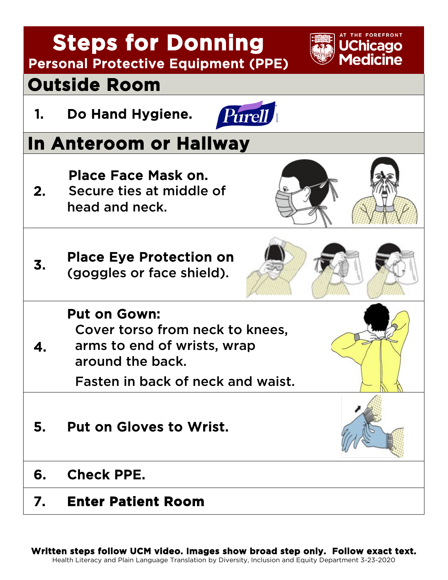| <b>Steps for Donning</b><br><b>UChicago</b><br><b>Medicine</b><br><b>Personal Protective Equipment (PPE)</b> |                                                                                                           |  |
|--------------------------------------------------------------------------------------------------------------|-----------------------------------------------------------------------------------------------------------|--|
| <b>Outside Room</b>                                                                                          |                                                                                                           |  |
| 1.                                                                                                           | Do Hand Hygiene.<br>Purell <i>R</i>                                                                       |  |
| In Anteroom or Hallway                                                                                       |                                                                                                           |  |
| 2.                                                                                                           | Place Face Mask on.<br>Secure ties at middle of<br>head and neck.                                         |  |
| 3.                                                                                                           | <b>Place Eye Protection on</b><br>(goggles or face shield).                                               |  |
|                                                                                                              | <b>Put on Gown:</b><br>Cover torso from neck to knees,<br>arms to end of wrists, wrap<br>around the back. |  |
|                                                                                                              | Fasten in back of neck and waist.                                                                         |  |
| 5.                                                                                                           | <b>Put on Gloves to Wrist.</b>                                                                            |  |
| 6.                                                                                                           | <b>Check PPE.</b>                                                                                         |  |
| 7.                                                                                                           | <b>Enter Patient Room</b>                                                                                 |  |

**Written steps follow UCM video. Images show broad step only. Follow exact text.** Health Literacy and Plain Language Translation by Diversity, Inclusion and Equity Department 3-23-2020